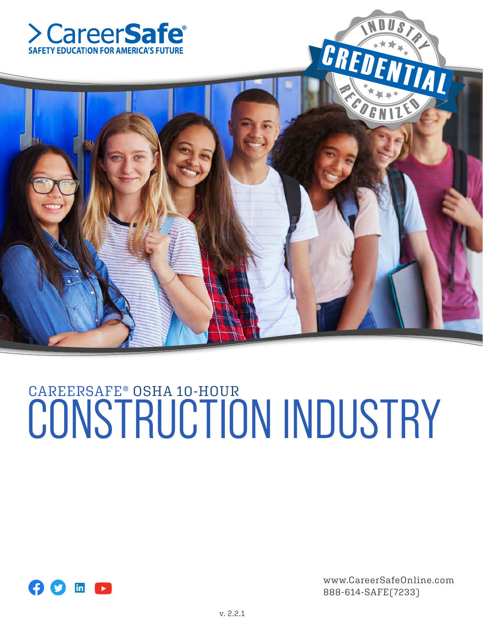



# CAREERSAFE® OSHA 10-HOUR CONSTRUCTION INDUSTRY



www.CareerSafeOnline.com 888-614-SAFE(7233)

 $\blacklozenge$ 

N DUST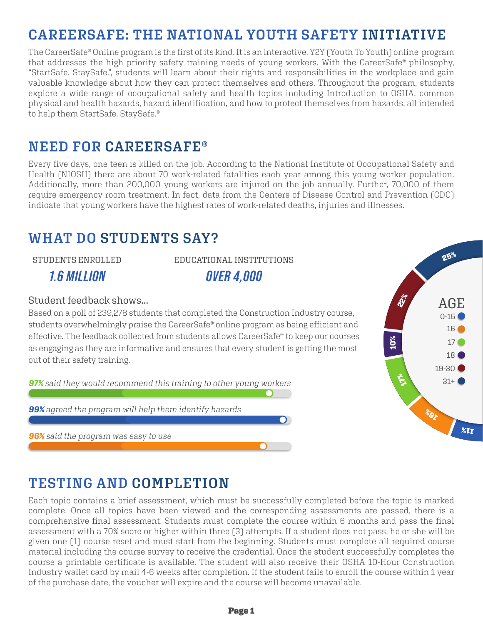# **CAREERSAFE: THE NATIONAL YOUTH SAFETY INITIATIVE**

The CareerSafe® Online program is the first of its kind. It is an interactive, Y2Y (Youth To Youth) online program that addresses the high priority safety training needs of young workers. With the CareerSafe® philosophy, "StartSafe. StaySafe.", students will learn about their rights and responsibilities in the workplace and gain valuable knowledge about how they can protect themselves and others. Throughout the program, students explore a wide range of occupational safety and health topics including Introduction to OSHA, common physical and health hazards, hazard identification, and how to protect themselves from hazards, all intended to help them StartSafe. StaySafe.®

# **NEED FOR CAREERSAFE®**

Every five days, one teen is killed on the job. According to the National Institute of Occupational Safety and Health (NIOSH) there are about 70 work-related fatalities each year among this young worker population. Additionally, more than 200,000 young workers are injured on the job annually. Further, 70,000 of them require emergency room treatment. In fact, data from the Centers of Disease Control and Prevention (CDC) indicate that young workers have the highest rates of work-related deaths, injuries and illnesses.

# **WHAT DO STUDENTS SAY?**

STUDENTS ENROLLED

*1.6 MILLION*

EDUCATIONAL INSTITUTIONS *OVER 4,000*

#### Student feedback shows...

Based on a poll of 239,278 students that completed the Construction Industry course, students overwhelmingly praise the CareerSafe® online program as being efficient and effective. The feedback collected from students allows CareerSafe® to keep our courses as engaging as they are informative and ensures that every student is getting the most out of their safety training.

*97% said they would recommend this training to other young workers*

*99% agreed the program will help them identify hazards*

*96% said the program was easy to use*



# **TESTING AND COMPLETION**

Each topic contains a brief assessment, which must be successfully completed before the topic is marked complete. Once all topics have been viewed and the corresponding assessments are passed, there is a comprehensive final assessment. Students must complete the course within 6 months and pass the final assessment with a 70% score or higher within three (3) attempts. If a student does not pass, he or she will be given one (1) course reset and must start from the beginning. Students must complete all required course material including the course survey to receive the credential. Once the student successfully completes the course a printable certificate is available. The student will also receive their OSHA 10-Hour Construction Industry wallet card by mail 4-6 weeks after completion. If the student fails to enroll the course within 1 year of the purchase date, the voucher will expire and the course will become unavailable.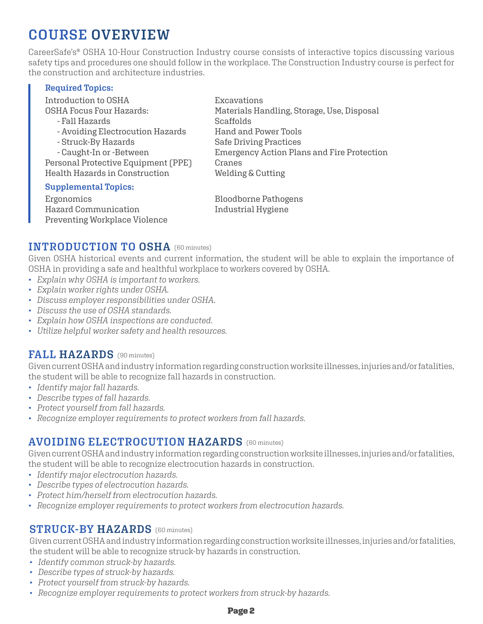# **COURSE OVERVIEW**

CareerSafe's® OSHA 10-Hour Construction Industry course consists of interactive topics discussing various safety tips and procedures one should follow in the workplace. The Construction Industry course is perfect for the construction and architecture industries.

#### **Required Topics:**

| Introduction to OSHA                | Excavations                                |
|-------------------------------------|--------------------------------------------|
| <b>OSHA Focus Four Hazards:</b>     | Materials Handling, Storage, Use, Disposal |
| - Fall Hazards                      | Scaffolds                                  |
| - Avoiding Electrocution Hazards    | Hand and Power Tools                       |
| - Struck-By Hazards                 | <b>Safe Driving Practices</b>              |
| - Caught-In or -Between             | Emergency Action Plans and Fire Protection |
| Personal Protective Equipment (PPE) | Cranes                                     |
| Health Hazards in Construction      | Welding & Cutting                          |
| <b>Supplemental Topics:</b>         |                                            |
| Ergonomics                          | <b>Bloodborne Pathogens</b>                |
| Hazard Communication                | Industrial Hygiene                         |

#### **INTRODUCTION TO OSHA** (60 minutes)

Preventing Workplace Violence

Given OSHA historical events and current information, the student will be able to explain the importance of OSHA in providing a safe and healthful workplace to workers covered by OSHA.

- *Explain why OSHA is important to workers.*
- *Explain worker rights under OSHA.*
- *Discuss employer responsibilities under OSHA.*
- *Discuss the use of OSHA standards.*
- *Explain how OSHA inspections are conducted.*
- *Utilize helpful worker safety and health resources.*

#### **FALL HAZARDS** (90 minutes)

Given current OSHA and industry information regarding construction worksite illnesses, injuries and/or fatalities, the student will be able to recognize fall hazards in construction.

- *Identify major fall hazards.*
- *Describe types of fall hazards.*
- *Protect yourself from fall hazards.*
- *Recognize employer requirements to protect workers from fall hazards.*

#### **AVOIDING ELECTROCUTION HAZARDS** (60 minutes)

Given current OSHA and industry information regarding construction worksite illnesses, injuries and/or fatalities, the student will be able to recognize electrocution hazards in construction.

- *Identify major electrocution hazards.*
- *Describe types of electrocution hazards.*
- *Protect him/herself from electrocution hazards.*
- *Recognize employer requirements to protect workers from electrocution hazards.*

#### **STRUCK-BY HAZARDS** (60 minutes)

Given current OSHA and industry information regarding construction worksite illnesses, injuries and/or fatalities, the student will be able to recognize struck-by hazards in construction.

- *Identify common struck-by hazards.*
- *Describe types of struck-by hazards.*
- *Protect yourself from struck-by hazards.*
- *Recognize employer requirements to protect workers from struck-by hazards.*

#### Page 2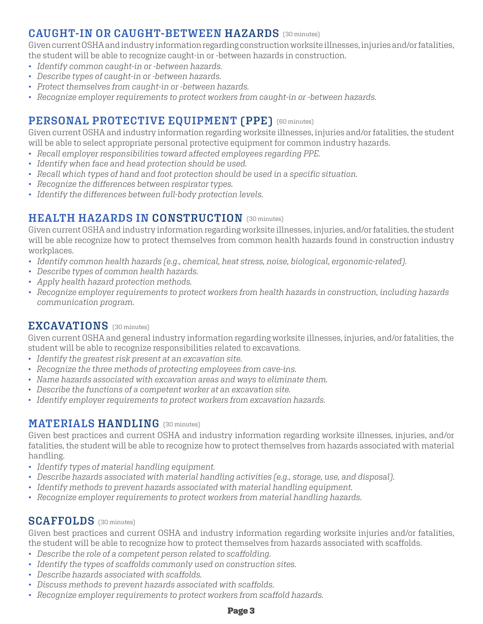## **CAUGHT-IN OR CAUGHT-BETWEEN HAZARDS** (30 minutes)

Given current OSHA and industry information regarding construction worksite illnesses, injuries and/or fatalities, the student will be able to recognize caught-in or -between hazards in construction.

- *Identify common caught-in or -between hazards.*
- *Describe types of caught-in or -between hazards.*
- *Protect themselves from caught-in or -between hazards.*
- *Recognize employer requirements to protect workers from caught-in or -between hazards.*

## (60 minutes) **PERSONAL PROTECTIVE EQUIPMENT (PPE)**

Given current OSHA and industry information regarding worksite illnesses, injuries and/or fatalities, the student will be able to select appropriate personal protective equipment for common industry hazards.

- *Recall employer responsibilities toward affected employees regarding PPE.*
- *Identify when face and head protection should be used.*
- *Recall which types of hand and foot protection should be used in a specific situation.*
- *Recognize the differences between respirator types.*
- *Identify the differences between full-body protection levels.*

#### **HEALTH HAZARDS IN CONSTRUCTION** [30 minutes]

Given current OSHA and industry information regarding worksite illnesses, injuries, and/or fatalities, the student will be able recognize how to protect themselves from common health hazards found in construction industry workplaces.

- *Identify common health hazards (e.g., chemical, heat stress, noise, biological, ergonomic-related).*
- *Describe types of common health hazards.*
- *Apply health hazard protection methods.*
- *Recognize employer requirements to protect workers from health hazards in construction, including hazards communication program.*

#### (30 minutes) **EXCAVATIONS**

Given current OSHA and general industry information regarding worksite illnesses, injuries, and/or fatalities, the student will be able to recognize responsibilities related to excavations.

- *Identify the greatest risk present at an excavation site.*
- *Recognize the three methods of protecting employees from cave-ins.*
- *Name hazards associated with excavation areas and ways to eliminate them.*
- *Describe the functions of a competent worker at an excavation site.*
- *Identify employer requirements to protect workers from excavation hazards.*

#### $\textbf{MATERIALS}$   $\textbf{HANDLING}$  (30 minutes)

Given best practices and current OSHA and industry information regarding worksite illnesses, injuries, and/or fatalities, the student will be able to recognize how to protect themselves from hazards associated with material handling.

- *Identify types of material handling equipment.*
- *Describe hazards associated with material handling activities (e.g., storage, use, and disposal).*
- *Identify methods to prevent hazards associated with material handling equipment.*
- *Recognize employer requirements to protect workers from material handling hazards.*

#### (30 minutes) **SCAFFOLDS**

Given best practices and current OSHA and industry information regarding worksite injuries and/or fatalities, the student will be able to recognize how to protect themselves from hazards associated with scaffolds.

- *Describe the role of a competent person related to scaffolding.*
- *Identify the types of scaffolds commonly used on construction sites.*
- *Describe hazards associated with scaffolds.*
- *Discuss methods to prevent hazards associated with scaffolds.*
- *Recognize employer requirements to protect workers from scaffold hazards.*

#### Page 3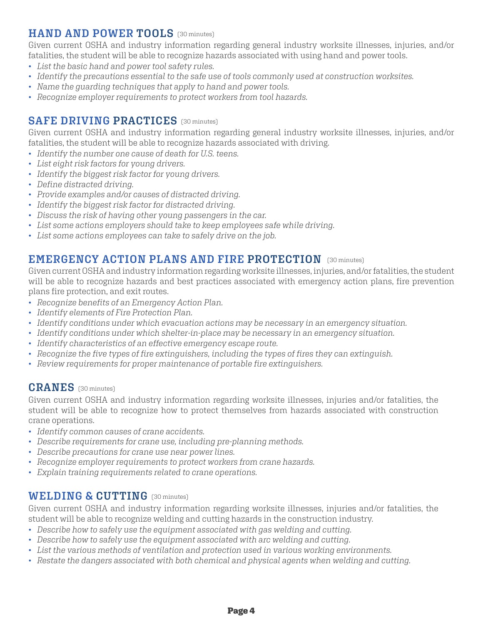#### **HAND AND POWER TOOLS** (30 minutes)

Given current OSHA and industry information regarding general industry worksite illnesses, injuries, and/or fatalities, the student will be able to recognize hazards associated with using hand and power tools.

- *List the basic hand and power tool safety rules.*
- *Identify the precautions essential to the safe use of tools commonly used at construction worksites.*
- *Name the guarding techniques that apply to hand and power tools.*
- *Recognize employer requirements to protect workers from tool hazards.*

#### **SAFE DRIVING PRACTICES** (30 minutes)

Given current OSHA and industry information regarding general industry worksite illnesses, injuries, and/or fatalities, the student will be able to recognize hazards associated with driving.

- *Identify the number one cause of death for U.S. teens.*
- *List eight risk factors for young drivers.*
- *Identify the biggest risk factor for young drivers.*
- *Define distracted driving.*
- *Provide examples and/or causes of distracted driving.*
- *Identify the biggest risk factor for distracted driving.*
- *Discuss the risk of having other young passengers in the car.*
- *List some actions employers should take to keep employees safe while driving.*
- *List some actions employees can take to safely drive on the job.*

#### **EMERGENCY ACTION PLANS AND FIRE PROTECTION** (30 minutes)

Given current OSHA and industry information regarding worksite illnesses, injuries, and/or fatalities, the student will be able to recognize hazards and best practices associated with emergency action plans, fire prevention plans fire protection, and exit routes.

- *Recognize benefits of an Emergency Action Plan.*
- *Identify elements of Fire Protection Plan.*
- *Identify conditions under which evacuation actions may be necessary in an emergency situation.*
- *Identify conditions under which shelter-in-place may be necessary in an emergency situation.*
- *Identify characteristics of an effective emergency escape route.*
- *Recognize the five types of fire extinguishers, including the types of fires they can extinguish.*
- *Review requirements for proper maintenance of portable fire extinguishers.*

#### **CRANES** (30 minutes)

Given current OSHA and industry information regarding worksite illnesses, injuries and/or fatalities, the student will be able to recognize how to protect themselves from hazards associated with construction crane operations.

- *Identify common causes of crane accidents.*
- *Describe requirements for crane use, including pre-planning methods.*
- *Describe precautions for crane use near power lines.*
- *Recognize employer requirements to protect workers from crane hazards.*
- *Explain training requirements related to crane operations.*

#### **WELDING & CUTTING** (30 minutes)

Given current OSHA and industry information regarding worksite illnesses, injuries and/or fatalities, the student will be able to recognize welding and cutting hazards in the construction industry.

- *Describe how to safely use the equipment associated with gas welding and cutting.*
- *Describe how to safely use the equipment associated with arc welding and cutting.*
- *List the various methods of ventilation and protection used in various working environments.*
- *Restate the dangers associated with both chemical and physical agents when welding and cutting.*